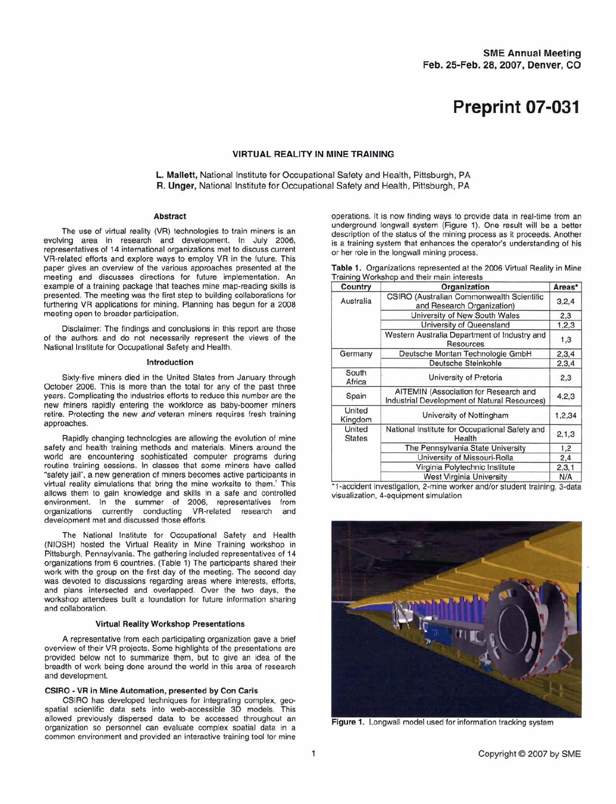### **VIRTUAL REALITY IN MINE TRAINING**

**L. Mallett,** National lnstitute for Occupational Safety and Health, Pittsburgh, PA **R. Unger,** National lnstitute for Occupational Safety and Health, Pittsburgh, PA

# Abstract

The use of virtual reality (VR) technologies to train miners is an evolving area in research and development. In July 2006, representatives of 14 international organizations met to discuss current VR-related efforts and explore ways to employ VR in the future. This paper gives an overview of the various approaches presented at the meeting and discusses directions for future implementation. An example of a training package that teaches mine map-reading skills is presented. The meeting was the first step to building collaborations for furthering VR applications for mining. Planning has begun for a 2008 meeting open to broader participation.

Disclaimer: The findings and conclusions in this report are those of the authors and do not necessarily represent the views of the National lnstitute for Occupational Safety and Health.

#### Introduction

Sixty-five miners died in the United States from January through October 2006. This is more than the total for any of the past three years. Complicating the industries efforts to reduce this number are the new miners rapidly entering the workforce as baby-boomer miners retire. Protecting the new and veteran miners requires fresh training approaches.

Rapidly changing technologies are allowing the evolution of mine safety and health training methods and materials. Miners around the world are encountering sophisticated computer programs during routine training sessions. In classes that some miners have called "safety jail", a new generation of miners becomes active participants in virtual reality simulations that bring the mine worksite to them.' This allows them to gain knowledge and skills in a safe and controlled environment. In the summer of 2006, representatives from organizations currently conducting VR-related research and development met and discussed those efforts.

The National lnstitute for Occupational Safety and Health (NIOSH) hosted the Virtual Reality in Mine Training workshop in Pittsburgh, Pennsylvania. The gathering included representatives of 14 organizations from 6 countries. (Table 1) The participants shared their work with the group on the first day of the meeting. The second day was devoted to discussions regarding areas where interests, efforts, and plans intersected and overlapped. Over the two days, the workshop attendees built a foundation for future information sharing and collaboration.

#### Virtual Reality Workshop Presentatlons

A representative from each participating organization gave a brief overview of their VR projects. Some highlights of the presentations are provided below not to summarize them, but to give an idea of the breadth of work being done around the world in this area of research and development.

### CSlRO - VR in Mlne Automation, presented by Con Caris

CSlRO has developed techniques for integrating complex, geospatial scientific data sets into web-accessible 3D models. This allowed previously dispersed data to be accessed throughout an organization so personnel can evaluate complex spatial data in a common environment and provided an interactive training tool for mine

operations. It is now finding ways to provide data in real-time from an underground longwall system (Figure 1). One result will be a better description of the status of the mining process as it proceeds. Another is a training system that enhances the operator's understanding of his or her role in the longwall mining process.

| Country                 | Organization                                                                          | Areas*  |
|-------------------------|---------------------------------------------------------------------------------------|---------|
| Australia               | <b>CSIRO (Australian Commonwealth Scientific</b><br>and Research Organization)        | 3,2,4   |
|                         | University of New South Wales                                                         | 2,3     |
|                         | University of Queensland                                                              | 1.2.3   |
|                         | Western Australia Department of Industry and<br><b>Resources</b>                      | 1,3     |
| Germany                 | Deutsche Montan Technologie GmbH                                                      | 2,3,4   |
|                         | Deutsche Steinkohle                                                                   | 2,3,4   |
| South<br>Africa         | University of Pretoria                                                                | 2.3     |
| Spain                   | AITEMIN (Association for Research and<br>Industrial Development of Natural Resources) | 4,2,3   |
| United<br>Kingdom       | University of Nottingham                                                              | 1.2.34  |
| United<br><b>States</b> | National Institute for Occupational Safety and<br>Health                              | 2, 1, 3 |
|                         | The Pennsylvania State University                                                     | 1,2     |
|                         | University of Missouri-Rolla                                                          | 2,4     |
|                         | Virginia Polytechnic Institute                                                        | 2,3,1   |
|                         | West Virginia University                                                              | N/A     |

Table 1. Oraanizations represented at the 2006 Virtual Reality in Mine Training wofkshop and their main interests

visualization, 4-equipment simulation

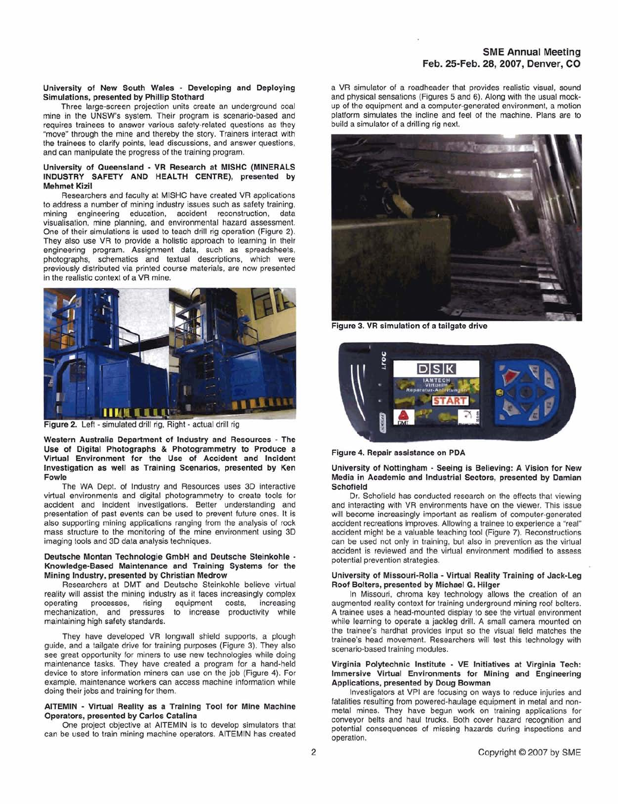#### University of New South Wales - Developing and Deploying Simulations, presented by Phillip Stothard

Three large-screen projection units create an underground coal mine in the UNSW's system. Their program is scenario-based and requires trainees to answer various safety-related questions as they "move" through the mine and thereby the story. Trainers interact with the trainees to clarify points, lead discussions, and answer questions, and can manipulate the progress of the training program.

# University of Queensland - VR Research at MlSHC (MINERALS INDUSTRY SAFETY AND HEALTH CENTRE), presented by Mehmet Kizil

Researchers and faculty at MlSHC have created VR applications to address a number of mining industry issues such as safety training, mining engineering education, accident reconstruction, data visualisation, mine planning, and environmental hazard assessment. One of their simulations is used to teach drill rig operation (Figure 2). They also use VR to provide a holistic approach to learning in their engineering program. Assignment data, such as spreadsheets, photographs, schematics and textual descriptions, which were previously distributed via printed course materials, are now presented in the realistic context of a VR mine.



Figure 2. Left - simulated drill rig, Right - actual drill rig

Western Australia Department of Industry and Resources - The Use of Digital Photographs & Photogrammetry to Produce a Virtual Environment for the Use of Accident and Incident Investigation as well as Training Scenarios, presented by Ken Fowle

The WA Dept. of Industry and Resources uses 3D interactive virtual environments and digital photogrammetry to create tools for accident and incident investigations. Better understanding and presentation of past events can be used to prevent future ones. It is also supporting mining applications ranging from the analysis of rock mass structure to the monitoring of the mine environment using 3D imaging tools and 30 data analysis techniques.

### Deutsche Montan Technologie GmbH and Deutsche Steinkohle - Knowledge-Based Maintenance and Trainlng Systems for the Mining Industry, presented by Christian Medrow

Researchers at DMT and Deutsche Steinkohle believe virtual reality will assist the mining industry as it faces increasingly complex<br>operating processes, rising equipment costs, increasing processes, mechanization, and pressures to increase productivity while maintaining high safety standards.

They have developed VR longwall shield supports, a plough guide, and a tailgate drive for training purposes (Figure 3). They also see great opportunity for miners to use new technologies while doing maintenance tasks. They have created a program for a hand-held device to store information miners can use on the job (Figure 4). For example, maintenance workers can access machine information while doing their jobs and training for them.

### AITEMIN - Virtual Reality as a Training Tool for Mine Machine Operators, presented by Carlos Catailna

One project objective at AlTEMlN is to develop simulators that can be used to train mining machine operators. AlTEMlN has created

a VR simulator of a roadheader that provides realistic visual, sound and physical sensations (Figures 5 and 6). Along with the usual mockup of the equipment and a computer-generated environment, a motion platform simulates the incline and feel of the machine. Plans are to build a simulator of a drilling rig next.





Figure 4. Repalr assistance on PDA

### University of Nottingham - Seeing is Believing: A Vision for New Media in Academic and Industrial Sectors, presented by Damian **Schofield**

Dr. Schofield has conducted research on the effects that viewing and interacting with VR environments have on the viewer. This issue will become increasingly important as realism of computer-generated accident recreations improves. Allowing a trainee to experience a "real" accident might be a valuable teaching tool (Figure 7). Reconstructions can be used not only in training, but also in prevention as the virtual accident is reviewed and the virtual environment modified to assess potential prevention strategies.

### University of Missouri-Rolla - Virtual Reality Training of Jack-Leg Roof Bolters, presented by Michael G. Hilger

In Missouri, chroma key technology allows the creation of an augmented reality context for training underground mining roof bolters. A trainee uses a head-mounted display to see the virtual environment while learning to operate a jackleg drill. A small camera mounted on the trainee's hardhat provides input so the visual field matches the trainee's head movement. Researchers will test this technology with scenario-based training modules.

# Virginia Polytechnic Institute - VE Initiatives at Virginia Tech: Immersive Virtual Environments for Mining and Engineering Applications, presented by Doug Bowman

Investigators at VPI are focusing on ways to reduce injuries and fatalities resulting from powered-haulage equipment in metal and nonmetal mines. They have begun work on training applications for conveyor belts and haul trucks. Both cover hazard recognition and potential consequences of missing hazards during inspections and operation.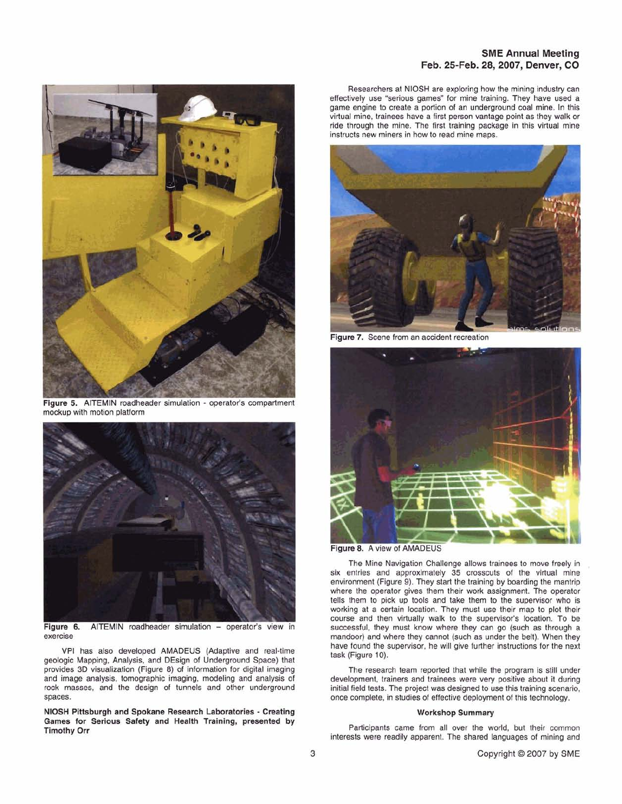

Figure 5. AITEMIN roadheader simulation - operator's compartment mockup with motion platform



Figure 6. AITEMIN roadheader simulation - operator's view in exercise

VPI has also developed AMADEUS (Adaptive and real-time geologic Mapping, Analysis, and DEsign of Underground Space) that provides 3D visualization (Figure 8) of information for digital imaging and image analysis, tomographic imaging, modeling and analysis of rock masses, and the design of tunnels and other underground spaces.

NlOSH Pittsburgh and Spokane Research Laboratories - Creating Games for Serious Safety and Health Training, presented by Timothy Orr

Researchers at NlOSH are exploring how the mining industry can effectively use "serious games" for mine training. They have used a game engine to create a portion of an underground coal mine. In this virtual mine, trainees have a first person vantage point as they walk or ride through the mine. The first training package in this virtual mine instructs new miners in how to read mine maps.



Figure 7. Scene from an accident recreation



Figure 8. A view of AMADEUS

The Mine Navigation Challenge allows trainees to move freely in six entries and approximately 35 crosscuts of the virtual mine environment (Figure 9). They start the training by boarding the mantrip where the operator gives them their work assignment. The operator tells them to pick up tools and take them to the supervisor who is working at a certain location. They must use their map to plot their course and then virtually walk to the supewisor's location. To be successful, they must know where they can go (such as through a mandoor) and where they cannot (such as under the belt). When they have found the supervisor, he will give further instructions for the next task (Figure 10).

The research team reported that while the program is still under development, trainers and trainees were very positive about it during initial field tests. The project was designed to use this training scenario, once complete, in studies of effective deployment of this technology.

#### Workshop Summary

Participants came from all over the world, but their common interests were readily apparent. The shared languages of mining and